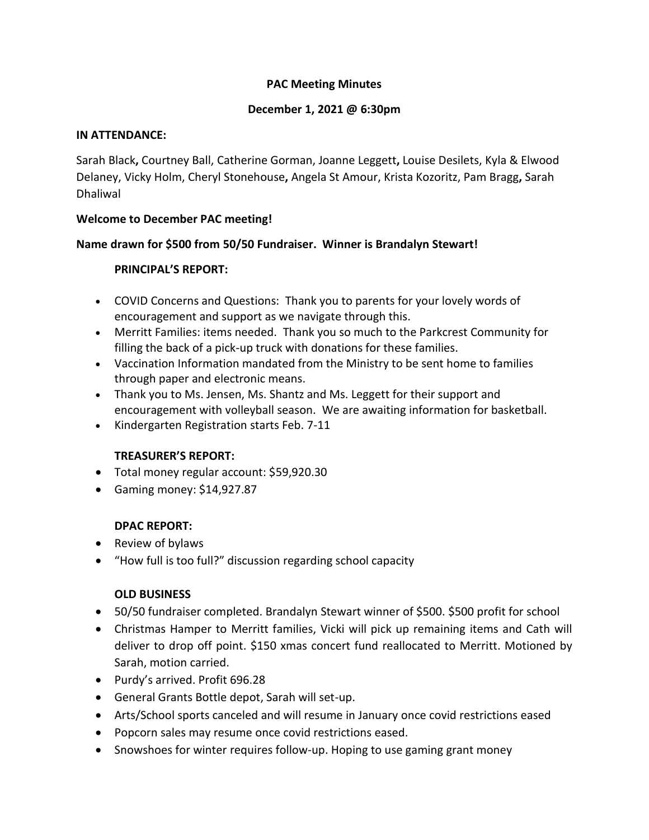# **PAC Meeting Minutes**

### **December 1, 2021 @ 6:30pm**

#### **IN ATTENDANCE:**

Sarah Black**,** Courtney Ball, Catherine Gorman, Joanne Leggett**,** Louise Desilets, Kyla & Elwood Delaney, Vicky Holm, Cheryl Stonehouse**,** Angela St Amour, Krista Kozoritz, Pam Bragg**,** Sarah Dhaliwal

## **Welcome to December PAC meeting!**

## **Name drawn for \$500 from 50/50 Fundraiser. Winner is Brandalyn Stewart!**

### **PRINCIPAL'S REPORT:**

- COVID Concerns and Questions: Thank you to parents for your lovely words of encouragement and support as we navigate through this.
- Merritt Families: items needed. Thank you so much to the Parkcrest Community for filling the back of a pick-up truck with donations for these families.
- Vaccination Information mandated from the Ministry to be sent home to families through paper and electronic means.
- Thank you to Ms. Jensen, Ms. Shantz and Ms. Leggett for their support and encouragement with volleyball season. We are awaiting information for basketball.
- Kindergarten Registration starts Feb. 7-11

# **TREASURER'S REPORT:**

- Total money regular account: \$59,920.30
- Gaming money: \$14,927.87

# **DPAC REPORT:**

- Review of bylaws
- "How full is too full?" discussion regarding school capacity

### **OLD BUSINESS**

- 50/50 fundraiser completed. Brandalyn Stewart winner of \$500. \$500 profit for school
- Christmas Hamper to Merritt families, Vicki will pick up remaining items and Cath will deliver to drop off point. \$150 xmas concert fund reallocated to Merritt. Motioned by Sarah, motion carried.
- Purdy's arrived. Profit 696.28
- General Grants Bottle depot, Sarah will set-up.
- Arts/School sports canceled and will resume in January once covid restrictions eased
- Popcorn sales may resume once covid restrictions eased.
- Snowshoes for winter requires follow-up. Hoping to use gaming grant money